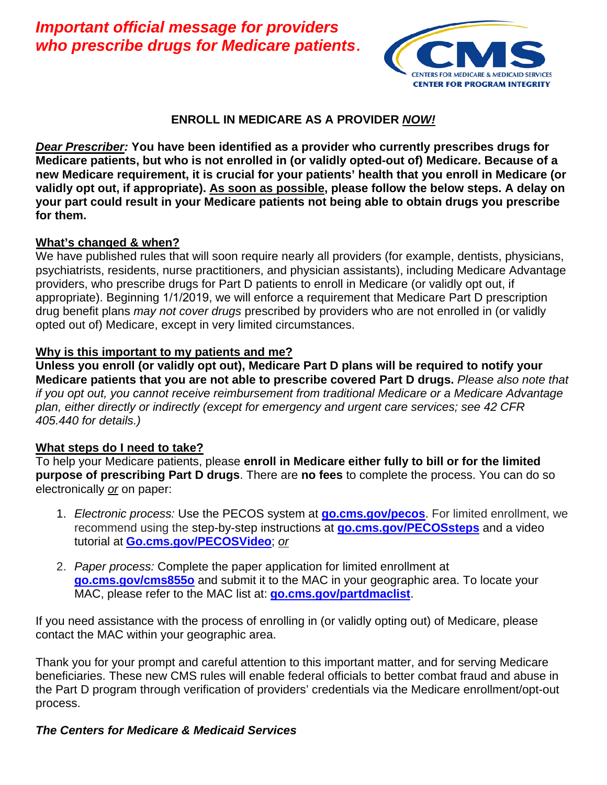*who prescribe drugs for Medicare patients. Important official message for providers* 



### **ENROLL IN MEDICARE AS A PROVIDER** *NOW!*

*Dear Prescriber:* **You have been identified as a provider who currently prescribes drugs for Medicare patients, but who is not enrolled in (or validly opted-out of) Medicare. Because of a new Medicare requirement, it is crucial for your patients' health that you enroll in Medicare (or validly opt out, if appropriate). As soon as possible, please follow the below steps. A delay on your part could result in your Medicare patients not being able to obtain drugs you prescribe for them.** 

#### **What's changed & when?**

We have published rules that will soon require nearly all providers (for example, dentists, physicians, psychiatrists, residents, nurse practitioners, and physician assistants), including Medicare Advantage providers, who prescribe drugs for Part D patients to enroll in Medicare (or validly opt out, if appropriate). Beginning 1/1/2019, we will enforce a requirement that Medicare Part D prescription drug benefit plans *may not cover drugs* prescribed by providers who are not enrolled in (or validly opted out of) Medicare, except in very limited circumstances.

#### **Why is this important to my patients and me?**

**Unless you enroll (or validly opt out), Medicare Part D plans will be required to notify your Medicare patients that you are not able to prescribe covered Part D drugs.** *Please also note that if you opt out, you cannot receive reimbursement from traditional Medicare or a Medicare Advantage plan, either directly or indirectly (except for emergency and urgent care services; see 42 CFR 405.440 for details.)* 

#### **What steps do I need to take?**

To help your Medicare patients, please **enroll in Medicare either fully to bill or for the limited purpose of prescribing Part D drugs**. There are **no fees** to complete the process. You can do so electronically *or* on paper:

- tutorial at **Go.cms.gov/PECOSVideo**; *or* 1. *Electronic process:* Use the PECOS system at **go.cms.gov/pecos**. For limited enrollment, we recommend using the step-by-step instructions at **go.cms.gov/PECOSsteps** and a video
- 2. *Paper process:* Complete the paper application for limited enrollment at **go.cms.gov/cms855o** and submit it to the MAC in your geographic area. To locate your MAC, please refer to the MAC list at: **go.cms.gov/partdmaclist**.

If you need assistance with the process of enrolling in (or validly opting out) of Medicare, please contact the MAC within your geographic area.

Thank you for your prompt and careful attention to this important matter, and for serving Medicare beneficiaries. These new CMS rules will enable federal officials to better combat fraud and abuse in the Part D program through verification of providers' credentials via the Medicare enrollment/opt-out process.

## *The Centers for Medicare & Medicaid Services*